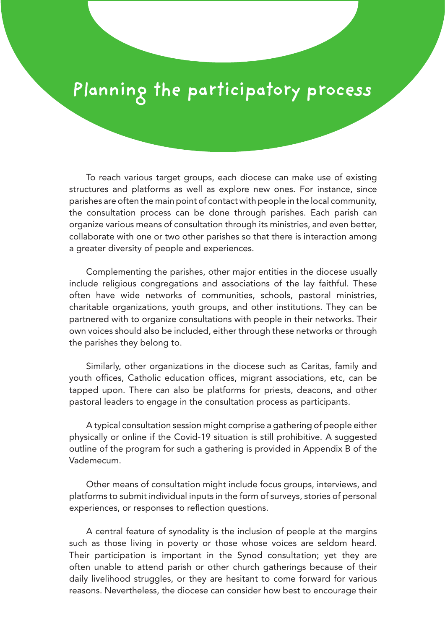## **Planning the participatory process**

To reach various target groups, each diocese can make use of existing structures and platforms as well as explore new ones. For instance, since parishes are often the main point of contact with people in the local community, the consultation process can be done through parishes. Each parish can organize various means of consultation through its ministries, and even better, collaborate with one or two other parishes so that there is interaction among a greater diversity of people and experiences.

Complementing the parishes, other major entities in the diocese usually include religious congregations and associations of the lay faithful. These often have wide networks of communities, schools, pastoral ministries, charitable organizations, youth groups, and other institutions. They can be partnered with to organize consultations with people in their networks. Their own voices should also be included, either through these networks or through the parishes they belong to.

Similarly, other organizations in the diocese such as Caritas, family and youth offices, Catholic education offices, migrant associations, etc, can be tapped upon. There can also be platforms for priests, deacons, and other pastoral leaders to engage in the consultation process as participants.

A typical consultation session might comprise a gathering of people either physically or online if the Covid-19 situation is still prohibitive. A suggested outline of the program for such a gathering is provided in Appendix B of the Vademecum.

Other means of consultation might include focus groups, interviews, and platforms to submit individual inputs in the form of surveys, stories of personal experiences, or responses to reflection questions.

A central feature of synodality is the inclusion of people at the margins such as those living in poverty or those whose voices are seldom heard. Their participation is important in the Synod consultation; yet they are often unable to attend parish or other church gatherings because of their daily livelihood struggles, or they are hesitant to come forward for various reasons. Nevertheless, the diocese can consider how best to encourage their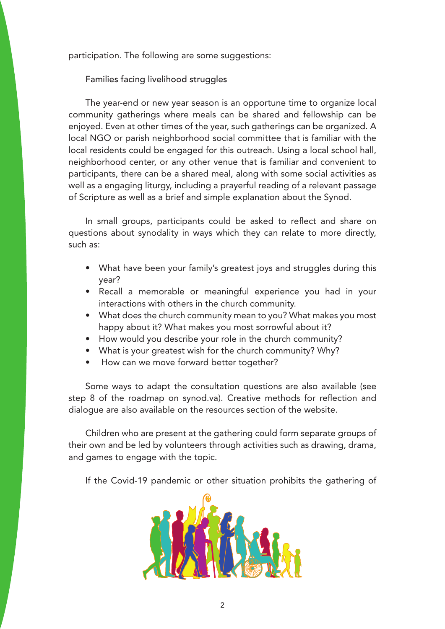participation. The following are some suggestions:

Families facing livelihood struggles

The year-end or new year season is an opportune time to organize local community gatherings where meals can be shared and fellowship can be enjoyed. Even at other times of the year, such gatherings can be organized. A local NGO or parish neighborhood social committee that is familiar with the local residents could be engaged for this outreach. Using a local school hall, neighborhood center, or any other venue that is familiar and convenient to participants, there can be a shared meal, along with some social activities as well as a engaging liturgy, including a prayerful reading of a relevant passage of Scripture as well as a brief and simple explanation about the Synod.

In small groups, participants could be asked to reflect and share on questions about synodality in ways which they can relate to more directly, such as:

- What have been your family's greatest joys and struggles during this year?
- Recall a memorable or meaningful experience you had in your interactions with others in the church community.
- What does the church community mean to you? What makes you most happy about it? What makes you most sorrowful about it?
- How would you describe your role in the church community?
- What is your greatest wish for the church community? Why?
- How can we move forward better together?

Some ways to adapt the consultation questions are also available (see step 8 of the roadmap on synod.va). Creative methods for reflection and dialogue are also available on the resources section of the website.

Children who are present at the gathering could form separate groups of their own and be led by volunteers through activities such as drawing, drama, and games to engage with the topic.

If the Covid-19 pandemic or other situation prohibits the gathering of